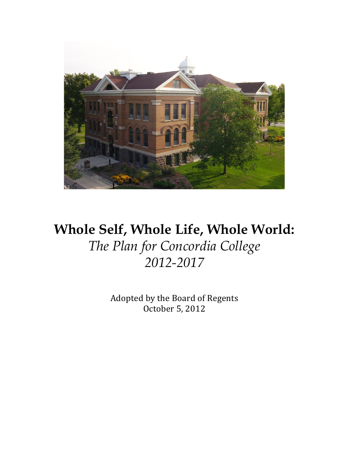

# **Whole Self, Whole Life, Whole World:** *The Plan for Concordia College 2012-2017*

Adopted by the Board of Regents October 5, 2012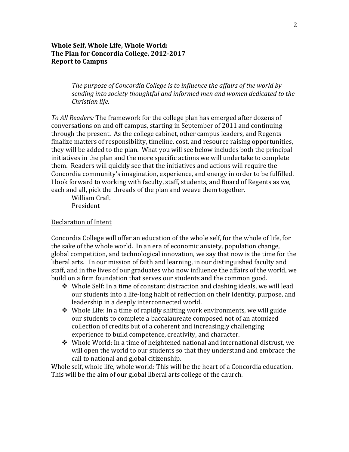## **Whole Self, Whole Life, Whole World:** The Plan for Concordia College, 2012-2017 **Report to Campus**

*The purpose of Concordia College is to influence the affairs of the world by* sending into society thoughtful and informed men and women dedicated to the *Christian life.*

*To All Readers:* The framework for the college plan has emerged after dozens of conversations on and off campus, starting in September of 2011 and continuing through the present. As the college cabinet, other campus leaders, and Regents finalize matters of responsibility, timeline, cost, and resource raising opportunities, they will be added to the plan. What you will see below includes both the principal initiatives in the plan and the more specific actions we will undertake to complete them. Readers will quickly see that the initiatives and actions will require the Concordia community's imagination, experience, and energy in order to be fulfilled. I look forward to working with faculty, staff, students, and Board of Regents as we, each and all, pick the threads of the plan and weave them together.

William Craft President

#### Declaration of Intent

Concordia College will offer an education of the whole self, for the whole of life, for the sake of the whole world. In an era of economic anxiety, population change, global competition, and technological innovation, we say that now is the time for the liberal arts. In our mission of faith and learning, in our distinguished faculty and staff, and in the lives of our graduates who now influence the affairs of the world, we build on a firm foundation that serves our students and the common good.

- $\div$  Whole Self: In a time of constant distraction and clashing ideals, we will lead our students into a life-long habit of reflection on their identity, purpose, and leadership in a deeply interconnected world.
- $\cdot$  Whole Life: In a time of rapidly shifting work environments, we will guide our students to complete a baccalaureate composed not of an atomized collection of credits but of a coherent and increasingly challenging experience to build competence, creativity, and character.
- $\div$  Whole World: In a time of heightened national and international distrust, we will open the world to our students so that they understand and embrace the call to national and global citizenship.

Whole self, whole life, whole world: This will be the heart of a Concordia education. This will be the aim of our global liberal arts college of the church.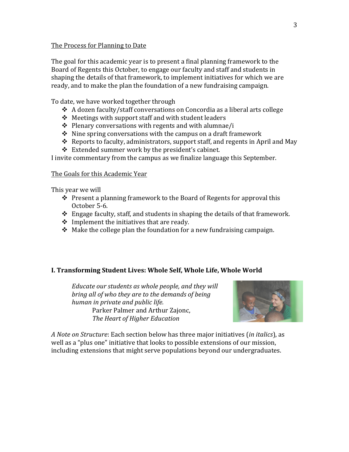#### The Process for Planning to Date

The goal for this academic year is to present a final planning framework to the Board of Regents this October, to engage our faculty and staff and students in shaping the details of that framework, to implement initiatives for which we are ready, and to make the plan the foundation of a new fundraising campaign.

To date, we have worked together through

- $\triangle$  A dozen faculty/staff conversations on Concordia as a liberal arts college
- $\div$  Meetings with support staff and with student leaders
- $\div$  Plenary conversations with regents and with alumnae/i
- $\div$  Nine spring conversations with the campus on a draft framework
- $\triangle$  Reports to faculty, administrators, support staff, and regents in April and May
- $\div$  Extended summer work by the president's cabinet.

I invite commentary from the campus as we finalize language this September.

#### The Goals for this Academic Year

This year we will

- $\cdot$  Present a planning framework to the Board of Regents for approval this October 5-6.
- $\triangleleft$  Engage faculty, staff, and students in shaping the details of that framework.
- $\div$  Implement the initiatives that are ready.
- $\cdot$  Make the college plan the foundation for a new fundraising campaign.

## **I. Transforming Student Lives: Whole Self, Whole Life, Whole World**

*Educate our students as whole people, and they will bring all of who they are to the demands of being human in private and public life.* Parker Palmer and Arthur Zajonc, *The Heart of Higher Education*



*A Note on Structure*: Each section below has three major initiatives (*in italics*), as well as a "plus one" initiative that looks to possible extensions of our mission, including extensions that might serve populations beyond our undergraduates.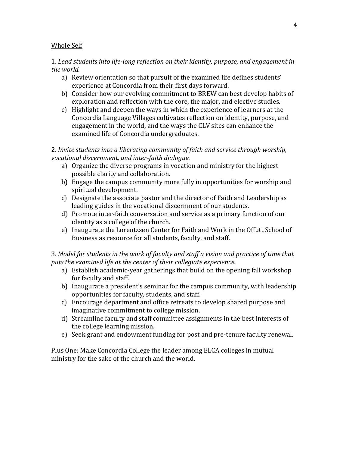### Whole Self

## 1. Lead students into life-long reflection on their identity, purpose, and engagement in the world.

- a) Review orientation so that pursuit of the examined life defines students' experience at Concordia from their first days forward.
- b) Consider how our evolving commitment to BREW can best develop habits of exploration and reflection with the core, the major, and elective studies.
- c) Highlight and deepen the ways in which the experience of learners at the Concordia Language Villages cultivates reflection on identity, purpose, and engagement in the world, and the ways the CLV sites can enhance the examined life of Concordia undergraduates.

2. Invite students into a liberating community of faith and service through worship, *vocational discernment, and inter-faith dialogue.* 

- a) Organize the diverse programs in vocation and ministry for the highest possible clarity and collaboration.
- b) Engage the campus community more fully in opportunities for worship and spiritual development.
- c) Designate the associate pastor and the director of Faith and Leadership as leading guides in the vocational discernment of our students.
- d) Promote inter-faith conversation and service as a primary function of our identity as a college of the church.
- e) Inaugurate the Lorentzsen Center for Faith and Work in the Offutt School of Business as resource for all students, faculty, and staff.

## 3. Model for students in the work of faculty and staff a vision and practice of time that puts the examined life at the center of their collegiate experience.

- a) Establish academic-year gatherings that build on the opening fall workshop for faculty and staff.
- b) Inaugurate a president's seminar for the campus community, with leadership opportunities for faculty, students, and staff.
- c) Encourage department and office retreats to develop shared purpose and imaginative commitment to college mission.
- d) Streamline faculty and staff committee assignments in the best interests of the college learning mission.
- e) Seek grant and endowment funding for post and pre-tenure faculty renewal.

Plus One: Make Concordia College the leader among ELCA colleges in mutual ministry for the sake of the church and the world.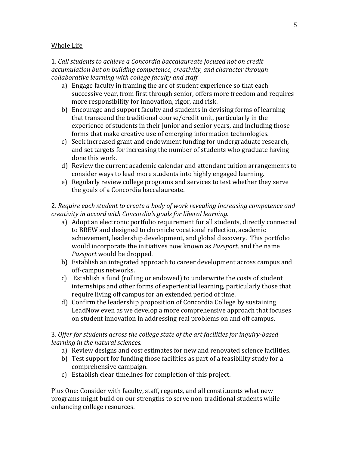#### Whole Life

1. Call students to achieve a Concordia baccalaureate focused not on credit *accumulation but on building competence, creativity, and character through collaborative learning with college faculty and staff.* 

- a) Engage faculty in framing the arc of student experience so that each successive year, from first through senior, offers more freedom and requires more responsibility for innovation, rigor, and risk.
- b) Encourage and support faculty and students in devising forms of learning that transcend the traditional course/credit unit, particularly in the experience of students in their junior and senior years, and including those forms that make creative use of emerging information technologies.
- c) Seek increased grant and endowment funding for undergraduate research, and set targets for increasing the number of students who graduate having done this work.
- d) Review the current academic calendar and attendant tuition arrangements to consider ways to lead more students into highly engaged learning.
- e) Regularly review college programs and services to test whether they serve the goals of a Concordia baccalaureate.

2. Require each student to create a body of work revealing increasing competence and *creativity in accord with Concordia's goals for liberal learning.* 

- a) Adopt an electronic portfolio requirement for all students, directly connected to BREW and designed to chronicle vocational reflection, academic achievement, leadership development, and global discovery. This portfolio would incorporate the initiatives now known as *Passport*, and the name *Passport* would be dropped.
- b) Establish an integrated approach to career development across campus and off-campus networks.
- c) Establish a fund (rolling or endowed) to underwrite the costs of student internships and other forms of experiential learning, particularly those that require living off campus for an extended period of time.
- d) Confirm the leadership proposition of Concordia College by sustaining LeadNow even as we develop a more comprehensive approach that focuses on student innovation in addressing real problems on and off campus.

## 3. Offer for students across the college state of the art facilities for inquiry-based *learning in the natural sciences.*

- a) Review designs and cost estimates for new and renovated science facilities.
- b) Test support for funding those facilities as part of a feasibility study for a comprehensive campaign.
- c) Establish clear timelines for completion of this project.

Plus One: Consider with faculty, staff, regents, and all constituents what new programs might build on our strengths to serve non-traditional students while enhancing college resources.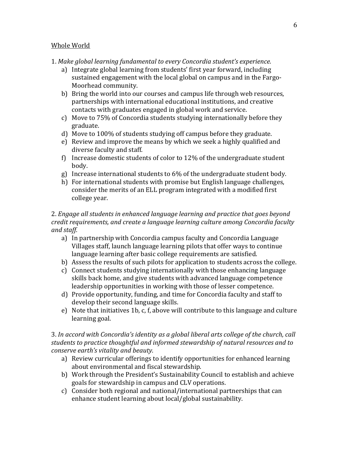#### Whole World

- 1. Make global learning fundamental to every Concordia student's experience.
	- a) Integrate global learning from students' first year forward, including sustained engagement with the local global on campus and in the Fargo-Moorhead community.
	- b) Bring the world into our courses and campus life through web resources, partnerships with international educational institutions, and creative contacts with graduates engaged in global work and service.
	- c) Move to  $75\%$  of Concordia students studying internationally before they graduate.
	- d) Move to 100% of students studying off campus before they graduate.
	- e) Review and improve the means by which we seek a highly qualified and diverse faculty and staff.
	- f) Increase domestic students of color to  $12\%$  of the undergraduate student body.
	- g) Increase international students to  $6\%$  of the undergraduate student body.
	- h) For international students with promise but English language challenges, consider the merits of an ELL program integrated with a modified first college year.

## 2. *Engage all students in enhanced language learning and practice that goes beyond credit requirements, and create a language learning culture among Concordia faculty and staff.*

- a) In partnership with Concordia campus faculty and Concordia Language Villages staff, launch language learning pilots that offer ways to continue language learning after basic college requirements are satisfied.
- b) Assess the results of such pilots for application to students across the college.
- c) Connect students studying internationally with those enhancing language skills back home, and give students with advanced language competence leadership opportunities in working with those of lesser competence.
- d) Provide opportunity, funding, and time for Concordia faculty and staff to develop their second language skills.
- e) Note that initiatives 1b, c, f, above will contribute to this language and culture learning goal.

### 3. In accord with Concordia's identity as a global liberal arts college of the church, call students to practice *thoughtful and informed stewardship of natural resources and to conserve earth's vitality and beauty.*

- a) Review curricular offerings to identify opportunities for enhanced learning about environmental and fiscal stewardship.
- b) Work through the President's Sustainability Council to establish and achieve goals for stewardship in campus and CLV operations.
- c) Consider both regional and national/international partnerships that can enhance student learning about local/global sustainability.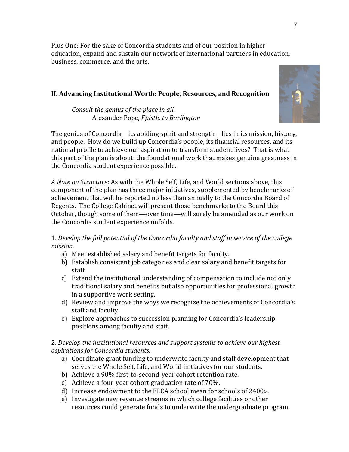Plus One: For the sake of Concordia students and of our position in higher education, expand and sustain our network of international partners in education, business, commerce, and the arts.

## **II. Advancing Institutional Worth: People, Resources, and Recognition**

*Consult the genius of the place in all.* Alexander Pope, *Epistle to Burlington*

The genius of Concordia—its abiding spirit and strength—lies in its mission, history, and people. How do we build up Concordia's people, its financial resources, and its national profile to achieve our aspiration to transform student lives? That is what this part of the plan is about: the foundational work that makes genuine greatness in the Concordia student experience possible.

A *Note on Structure*: As with the Whole Self, Life, and World sections above, this component of the plan has three major initiatives, supplemented by benchmarks of achievement that will be reported no less than annually to the Concordia Board of Regents. The College Cabinet will present those benchmarks to the Board this October, though some of them—over time—will surely be amended as our work on the Concordia student experience unfolds.

## 1. Develop the full potential of the Concordia faculty and staff in service of the college *mission.*

- a) Meet established salary and benefit targets for faculty.
- b) Establish consistent job categories and clear salary and benefit targets for staff.
- c) Extend the institutional understanding of compensation to include not only traditional salary and benefits but also opportunities for professional growth in a supportive work setting.
- d) Review and improve the ways we recognize the achievements of Concordia's staff and faculty.
- e) Explore approaches to succession planning for Concordia's leadership positions among faculty and staff.

## 2. Develop the *institutional resources and support systems to achieve our highest aspirations for Concordia students.*

- a) Coordinate grant funding to underwrite faculty and staff development that serves the Whole Self, Life, and World initiatives for our students.
- b) Achieve a 90% first-to-second-year cohort retention rate.
- c) Achieve a four-year cohort graduation rate of  $70\%$ .
- d) Increase endowment to the ELCA school mean for schools of 2400>.
- e) Investigate new revenue streams in which college facilities or other resources could generate funds to underwrite the undergraduate program.